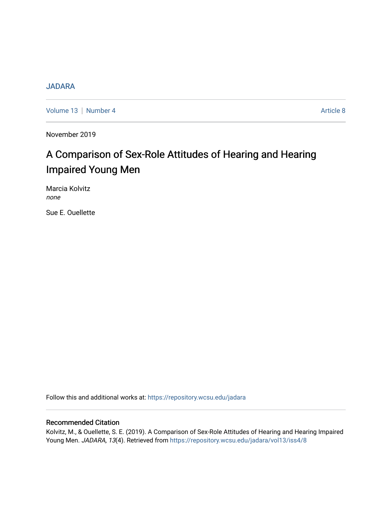# **[JADARA](https://repository.wcsu.edu/jadara)**

[Volume 13](https://repository.wcsu.edu/jadara/vol13) | [Number 4](https://repository.wcsu.edu/jadara/vol13/iss4) Article 8

November 2019

# A Comparison of Sex-Role Attitudes of Hearing and Hearing Impaired Young Men

Marcia Kolvitz none

Sue E. Ouellette

Follow this and additional works at: [https://repository.wcsu.edu/jadara](https://repository.wcsu.edu/jadara?utm_source=repository.wcsu.edu%2Fjadara%2Fvol13%2Fiss4%2F8&utm_medium=PDF&utm_campaign=PDFCoverPages)

# Recommended Citation

Kolvitz, M., & Ouellette, S. E. (2019). A Comparison of Sex-Role Attitudes of Hearing and Hearing Impaired Young Men. JADARA, 13(4). Retrieved from [https://repository.wcsu.edu/jadara/vol13/iss4/8](https://repository.wcsu.edu/jadara/vol13/iss4/8?utm_source=repository.wcsu.edu%2Fjadara%2Fvol13%2Fiss4%2F8&utm_medium=PDF&utm_campaign=PDFCoverPages)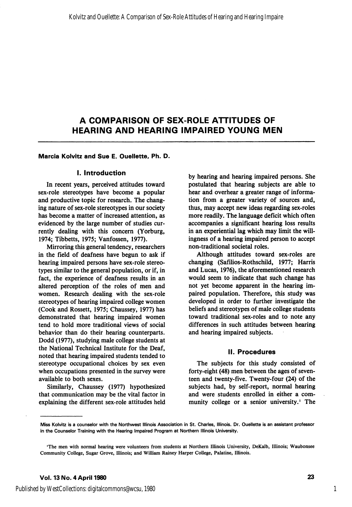#### Marcia Kolvitz and Sue E. Ouellette, Ph. D.

#### I. Introduction

In recent years, perceived attitudes toward sex-role stereotypes have become a popular and productive topic for research. The chang ing nature of sex-role stereotypes in our society has become a matter of increased attention, as evidenced by the large number of studies cur rently dealing with this concern (Yorburg, 1974; Tibbetts, 1975; Vanfossen, 1977).

Mirroring this general tendency, researchers in the field of deafness have begun to ask if hearing impaired persons have sex-role stereo types similar to the general population, or if, in fact, the experience of deafness results in an altered perception of the roles of men and women. Research dealing with the sex-role stereotypes of hearing impaired college women (Cook and Rossett, 1975; Chaussey, 1977) has demonstrated that hearing impaired women tend to hold more traditional views of social behavior than do their hearing counterparts. Dodd (1977), studying male college students at the National Technical Institute for the Deaf, noted that hearing impaired students tended to stereotype occupational choices by sex even when occupations presented in the survey were available to both sexes.

Similarly, Chaussey (1977) hypothesized that communication may be the vital factor in explaining the different sex-role attitudes held

by hearing and hearing impaired persons. She postulated that hearing subjects are able to hear and overhear a greater range of informa tion from a greater variety of sources and, thus, may accept new ideas regarding sex-roles more readily. The language deficit which often accompanies a significant hearing loss results in an experiential lag which may limit the will ingness of a hearing impaired person to accept non-traditional societal roles.

Although attitudes toward sex-roles are changing (Safilios-Rothschild, 1977; Harris and Lucas, 1976), the aforementioned research would seem to indicate that such change has not yet become apparent in the hearing im paired population. Therefore, this study was developed in order to further investigate the beliefs and stereotypes of male college students toward traditional sex-roles and to note any differences in such attitudes between hearing and hearing impaired subjects.

#### 11. Procedures

The subjects for this study consisted of forty-eight (48) men between the ages of seven teen and twenty-five. Twenty-four (24) of the subjects had, by self-report, normal hearing and were students enrolled in either a com munity college or a senior university.' The

1

Miss Kolvitz is a counselor with the Northwest Illinois Association in St. Charles, Illinois. Dr. Ouellette is an assistant professor in the Counselor Training with the Hearing Impaired Program at Northern Illinois University.

<sup>&#</sup>x27;The men with normal hearing were volunteers from students at Northern Illinois University, DeKalb, Illinois; Waubonsee Community College, Sugar Grove, Illinois; and William Rainey Harper College, Palatine, Illinois.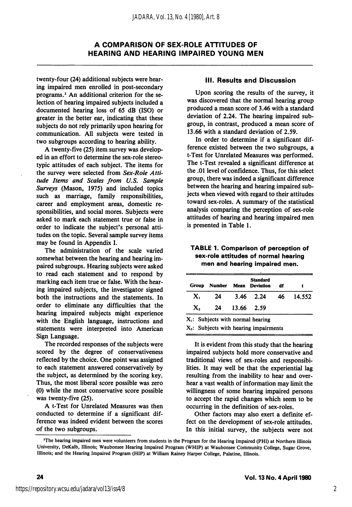twenty-four (24) additional subjects were hear ing impaired men enrolled in post-secondary programs.<sup>2</sup> An additional criterion for the selection of hearing impaired subjects included a documented hearing loss of 65 dB (ISO) or greater in the better ear, indicating that these subjects do not rely primarily upon hearing for communication. All subjects were tested in two subgroups according to hearing ability.

A twenty-five (25) item survey was develop ed in an effort to determine the sex-role stereotypic attitudes of each subject. The items for the survey were selected from Sex-Role Attitude Items and Scales from U,S, Sample Surveys (Mason, 1975) and included topics such as marriage, family responsibilities, career and employment areas, domestic re sponsibilities, and social mores. Subjects were asked to mark each statement true or false in order to indicate the subject's personal atti tudes on the topic. Several sample survey items may be found in Appendix I.

The administration of the scale varied somewhat between the hearing and hearing im paired subgroups. Hearing subjects were asked to read each statement and to respond by marking each item true or false. With the hear ing impaired subjects, the investigator signed both the instructions and the statements. In order to eliminate any difficulties that the hearing impaired subjects might experience with the English language, instructions and statements were interpreted into American Sign Language.

The recorded responses of the subjects were scored by the degree of conservativeness reflected by the choice. One point was assigned to each statement answered conservatively by the subject, as determined by the scoring key. Thus, the most liberal score possible was zero (0) while the most conservative score possible was twenty-five (25).

A t-Test for Unrelated Measures was then conducted to determine if a significant dif ference was indeed evident between the scores of the two subgroups.

## III. Results and Discussion

Upon scoring the results of the survey, it was discovered that the normal hearing group produced a mean score of 3.46 with a standard deviation of 2.24. The hearing impaired sub group, in contrast, produced a mean score of 13.66 with a standard deviation of 2.59.

In order to determine if a significant dif ference existed between the two subgroups, a t-Test for Unrelated Measures was performed. The t-Test revealed a significant difference at the .01 level of confidence. Thus, for this select group, there was indeed a significant difference between the hearing and hearing impaired sub jects when viewed with regard to their attitudes toward sex-roles. A summary of the statistical analysis comparing the perception of sex-role attitudes of hearing and hearing impaired men is presented in Table 1.

#### TABLE 1. Comparison of perception of sex-role attitudes of normal hearing men and hearing impaired men.

| Group | <b>Number</b> |               | <b>Standard</b><br>Mean Deviation | df |        |
|-------|---------------|---------------|-----------------------------------|----|--------|
| x.    | 24            |               | 3.46 2.24 46                      |    | 14.552 |
| х,    |               | 24 13.66 2.59 |                                   |    |        |

 $X_2$ : Subjects with hearing impairments

It is evident from this study that the hearing impaired subjects hold more conservative and traditional views of sex-roles and responsibi lities. It may well be that the experiential lag resulting from the inability to hear and over hear a vast wealth of information may limit the willingness of some hearing impaired persons to accept the rapid changes which seem to be occurring in the definition of sex-roles.

Other factors may also exert a definite ef fect on the development of sex-role attitudes. In this initial survey, the subjects were not

<sup>&#</sup>x27;The hearing impaired men were volunteers from students in the Program for the Hearing Impaired (PHI) at Northern Illinois University, DeKalb, Illinois; Waubonsee Hearing Impaired Program (WHIP) at Waubonsee Community College, Sugar Grove, Illinois; and the Hearing Impaired Program (HIP) at William Rainey Harper College, Palatine, Illinois.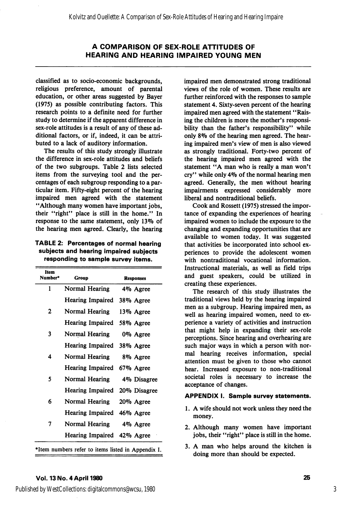classified as to socio-economic backgrounds, religious preference, amount of parental education, or other areas suggested by Bayer (1975) as possible contributing factors. This research points to a definite need for further study to determine if the apparent difference in sex-role attitudes is a result of any of these ad ditional factors, or if, indeed, it can be attri buted to a lack of auditory information.

The results of this study strongly illustrate the difference in sex-role attitudes and beliefs of the two subgroups. Table 2 lists selected items from the surveying tool and the per centages of each subgroup responding to a par ticular item. Fifty-eight percent of the hearing impaired men agreed with the statement \*'Although many women have important jobs, their "right" place is still in the home." In response to the same statement, only 13% of the hearing men agreed. Clearly, the hearing

TABLE 2: Percentages of normal hearing subjects and hearing impaired subjects responding to sample survey items.

| Item<br>Number*                                    | Group                      | <b>Responses</b> |  |  |
|----------------------------------------------------|----------------------------|------------------|--|--|
| 1                                                  | Normal Hearing             | 4% Agree         |  |  |
|                                                    | Hearing Impaired           | 38% Agree        |  |  |
| 2                                                  | Normal Hearing             | 13% Agree        |  |  |
|                                                    | Hearing Impaired           | 58% Agree        |  |  |
| 3                                                  | Normal Hearing             | 0% Agree         |  |  |
|                                                    | Hearing Impaired           | 38% Agree        |  |  |
| 4                                                  | Normal Hearing             | 8% Agree         |  |  |
|                                                    | Hearing Impaired           | 67% Agree        |  |  |
| 5                                                  | Normal Hearing             | 4% Disagree      |  |  |
|                                                    | Hearing Impaired           | 20% Disagree     |  |  |
| 6                                                  | Normal Hearing             | 20% Agree        |  |  |
|                                                    | Hearing Impaired           | 46% Agree        |  |  |
| 7                                                  | Normal Hearing             | 4% Agree         |  |  |
|                                                    | Hearing Impaired 42% Agree |                  |  |  |
| *Item numbers refer to items listed in Appendix I. |                            |                  |  |  |

impaired men demonstrated strong traditional views of the role of women. These results are further reinforced with the responses to sample statement 4. Sixty-seven percent of the hearing impaired men agreed with the statement "Raising the children is more the mother's responsi bility than the father's responsibility" while only 89o of the hearing men agreed. The hear ing impaired men's view of men is also viewed as strongly traditional. Forty-two percent of the hearing impaired men agreed with the statement "A man who is really a man won't cry" while only 49o of the normal hearing men agreed. Generally, the men without hearing impairments expressed considerably more liberal and nontraditional beliefs.

Cook and Rossett (1975) stressed the impor tance of expanding the experiences of hearing impaired women to include the exposure to the changing and expanding opportunities that are available to women today. It was suggested that activities be incorporated into school ex periences to provide the adolescent women with nontraditional vocational information. Instructional materials, as well as field trips and guest speakers, could be utilized in creating these experiences.

The research of this study illustrates the traditional views held by the hearing impaired men as a subgroup. Hearing impaired men, as well as hearing impaired women, need to ex perience a variety of activities and instruction that might help in expanding their sex-role perceptions. Since hearing and overhearing are such major ways in which a person with nor mal hearing receives information, special attention must be given to those who cannot hear. Increased exposure to non-traditional societal roles is necessary to increase the acceptance of changes.

#### APPENDIX I. Sample survey statements.

- 1. A wife should not work unless they need the money.
- 2. Although many women have important jobs, their "right" place is still in the home.
- 3. A man who helps around the kitchen is doing more than should be expected.

### Vol. 13 No. 4 April 1980 25

Published by WestCollections: digitalcommons@wcsu, 1980